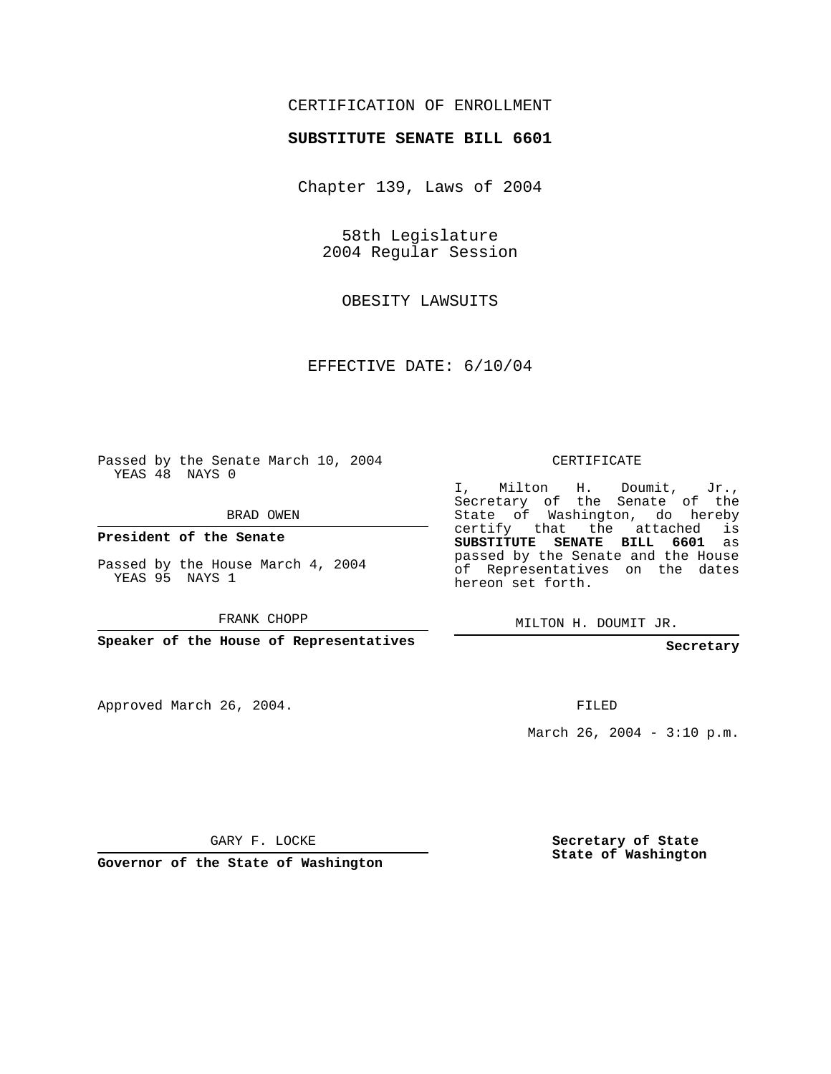## CERTIFICATION OF ENROLLMENT

## **SUBSTITUTE SENATE BILL 6601**

Chapter 139, Laws of 2004

58th Legislature 2004 Regular Session

OBESITY LAWSUITS

EFFECTIVE DATE: 6/10/04

Passed by the Senate March 10, 2004 YEAS 48 NAYS 0

BRAD OWEN

**President of the Senate**

Passed by the House March 4, 2004 YEAS 95 NAYS 1

FRANK CHOPP

**Speaker of the House of Representatives**

Approved March 26, 2004.

CERTIFICATE

I, Milton H. Doumit, Jr., Secretary of the Senate of the State of Washington, do hereby certify that the attached is **SUBSTITUTE SENATE BILL 6601** as passed by the Senate and the House of Representatives on the dates hereon set forth.

MILTON H. DOUMIT JR.

**Secretary**

FILED

March 26, 2004 -  $3:10$  p.m.

GARY F. LOCKE

**Governor of the State of Washington**

**Secretary of State State of Washington**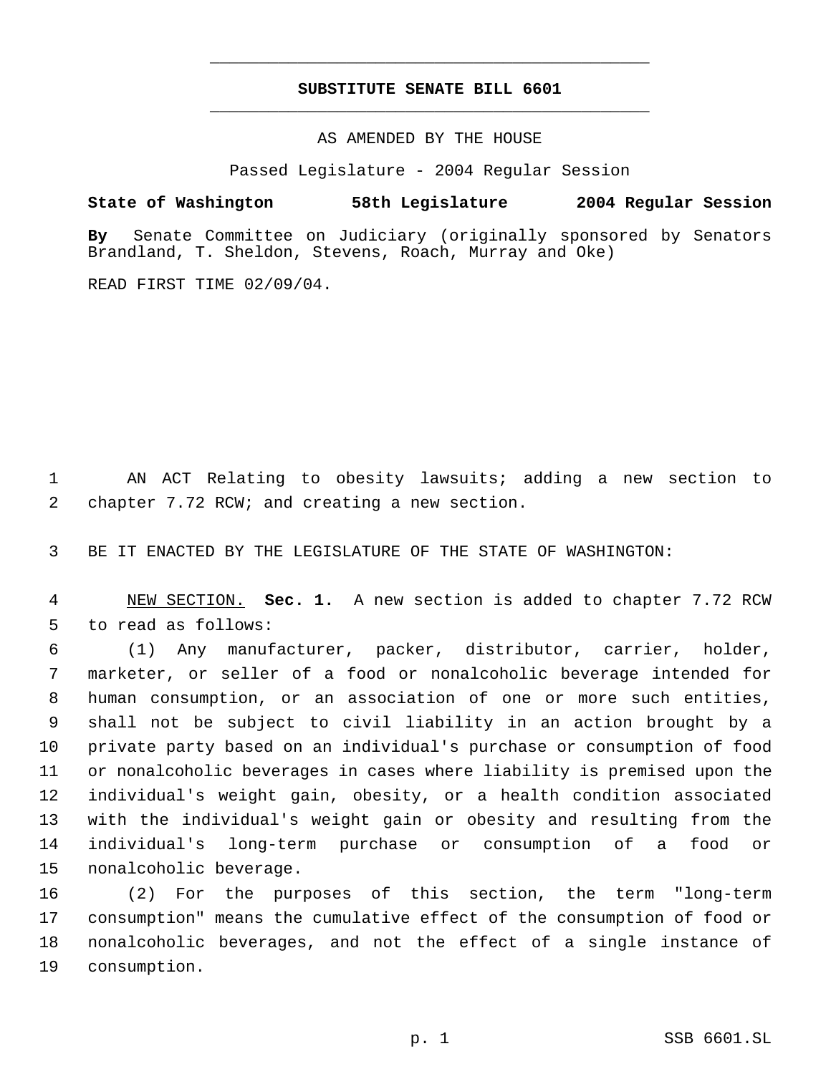## **SUBSTITUTE SENATE BILL 6601** \_\_\_\_\_\_\_\_\_\_\_\_\_\_\_\_\_\_\_\_\_\_\_\_\_\_\_\_\_\_\_\_\_\_\_\_\_\_\_\_\_\_\_\_\_

\_\_\_\_\_\_\_\_\_\_\_\_\_\_\_\_\_\_\_\_\_\_\_\_\_\_\_\_\_\_\_\_\_\_\_\_\_\_\_\_\_\_\_\_\_

AS AMENDED BY THE HOUSE

Passed Legislature - 2004 Regular Session

## **State of Washington 58th Legislature 2004 Regular Session**

**By** Senate Committee on Judiciary (originally sponsored by Senators Brandland, T. Sheldon, Stevens, Roach, Murray and Oke)

READ FIRST TIME 02/09/04.

 AN ACT Relating to obesity lawsuits; adding a new section to chapter 7.72 RCW; and creating a new section.

BE IT ENACTED BY THE LEGISLATURE OF THE STATE OF WASHINGTON:

 NEW SECTION. **Sec. 1.** A new section is added to chapter 7.72 RCW to read as follows:

 (1) Any manufacturer, packer, distributor, carrier, holder, marketer, or seller of a food or nonalcoholic beverage intended for human consumption, or an association of one or more such entities, shall not be subject to civil liability in an action brought by a private party based on an individual's purchase or consumption of food or nonalcoholic beverages in cases where liability is premised upon the individual's weight gain, obesity, or a health condition associated with the individual's weight gain or obesity and resulting from the individual's long-term purchase or consumption of a food or nonalcoholic beverage.

 (2) For the purposes of this section, the term "long-term consumption" means the cumulative effect of the consumption of food or nonalcoholic beverages, and not the effect of a single instance of consumption.